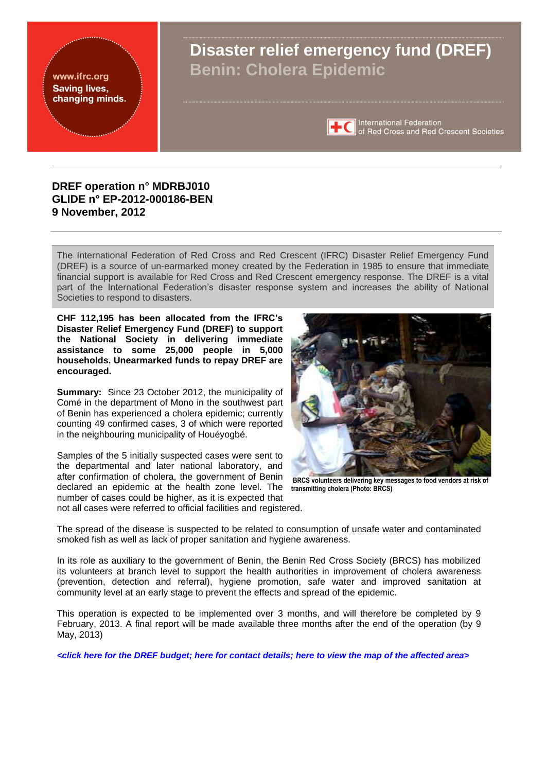

## **DREF operation n° MDRBJ010 GLIDE n° EP-2012-000186-BEN 9 November, 2012**

The International Federation of Red Cross and Red Crescent (IFRC) Disaster Relief Emergency Fund (DREF) is a source of un-earmarked money created by the Federation in 1985 to ensure that immediate financial support is available for Red Cross and Red Crescent emergency response. The DREF is a vital part of the International Federation's disaster response system and increases the ability of National Societies to respond to disasters.

**CHF 112,195 has been allocated from the IFRC's Disaster Relief Emergency Fund (DREF) to support the National Society in delivering immediate assistance to some 25,000 people in 5,000 households. Unearmarked funds to repay DREF are encouraged.**

**Summary:** Since 23 October 2012, the municipality of Comé in the department of Mono in the southwest part of Benin has experienced a cholera epidemic; currently counting 49 confirmed cases, 3 of which were reported in the neighbouring municipality of Houéyogbé.

Samples of the 5 initially suspected cases were sent to the departmental and later national laboratory, and after confirmation of cholera, the government of Benin declared an epidemic at the health zone level. The number of cases could be higher, as it is expected that not all cases were referred to official facilities and registered.



**BRCS volunteers delivering key messages to food vendors at risk of transmitting cholera (Photo: BRCS)**

The spread of the disease is suspected to be related to consumption of unsafe water and contaminated smoked fish as well as lack of proper sanitation and hygiene awareness.

In its role as auxiliary to the government of Benin, the Benin Red Cross Society (BRCS) has mobilized its volunteers at branch level to support the health authorities in improvement of cholera awareness (prevention, detection and referral), hygiene promotion, safe water and improved sanitation at community level at an early stage to prevent the effects and spread of the epidemic.

This operation is expected to be implemented over 3 months, and will therefore be completed by 9 February, 2013. A final report will be made available three months after the end of the operation (by 9 May, 2013)

*<[click here for the DREF budget;](#page-5-0) [here for contact details;](#page-4-0) [here to view the map of the affected area>](#page-6-0)*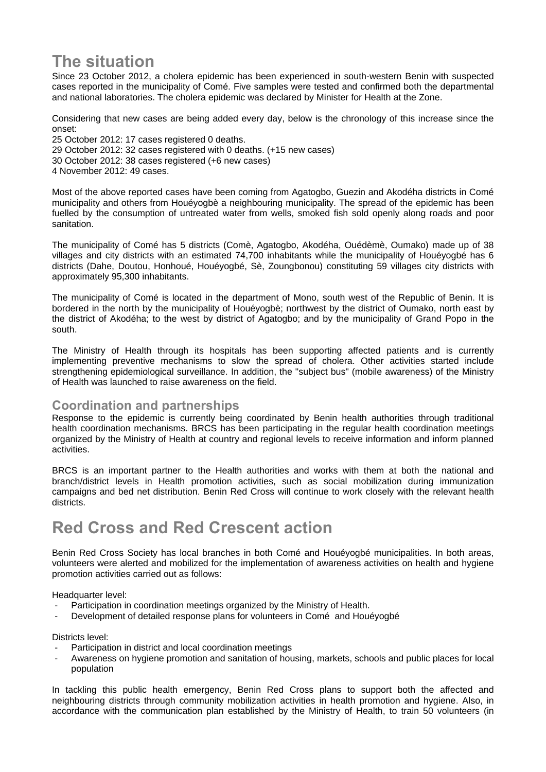# **The situation**

Since 23 October 2012, a cholera epidemic has been experienced in south-western Benin with suspected cases reported in the municipality of Comé. Five samples were tested and confirmed both the departmental and national laboratories. The cholera epidemic was declared by Minister for Health at the Zone.

Considering that new cases are being added every day, below is the chronology of this increase since the onset:

25 October 2012: 17 cases registered 0 deaths. 29 October 2012: 32 cases registered with 0 deaths. (+15 new cases) 30 October 2012: 38 cases registered (+6 new cases) 4 November 2012: 49 cases.

Most of the above reported cases have been coming from Agatogbo, Guezin and Akodéha districts in Comé municipality and others from Houéyogbè a neighbouring municipality. The spread of the epidemic has been fuelled by the consumption of untreated water from wells, smoked fish sold openly along roads and poor sanitation.

The municipality of Comé has 5 districts (Comè, Agatogbo, Akodéha, Ouédèmè, Oumako) made up of 38 villages and city districts with an estimated 74,700 inhabitants while the municipality of Houéyogbé has 6 districts (Dahe, Doutou, Honhoué, Houéyogbé, Sè, Zoungbonou) constituting 59 villages city districts with approximately 95,300 inhabitants.

The municipality of Comé is located in the department of Mono, south west of the Republic of Benin. It is bordered in the north by the municipality of Houéyogbè; northwest by the district of Oumako, north east by the district of Akodéha; to the west by district of Agatogbo; and by the municipality of Grand Popo in the south.

The Ministry of Health through its hospitals has been supporting affected patients and is currently implementing preventive mechanisms to slow the spread of cholera. Other activities started include strengthening epidemiological surveillance. In addition, the "subject bus" (mobile awareness) of the Ministry of Health was launched to raise awareness on the field.

## **Coordination and partnerships**

Response to the epidemic is currently being coordinated by Benin health authorities through traditional health coordination mechanisms. BRCS has been participating in the regular health coordination meetings organized by the Ministry of Health at country and regional levels to receive information and inform planned activities.

BRCS is an important partner to the Health authorities and works with them at both the national and branch/district levels in Health promotion activities, such as social mobilization during immunization campaigns and bed net distribution. Benin Red Cross will continue to work closely with the relevant health districts.

# **Red Cross and Red Crescent action**

Benin Red Cross Society has local branches in both Comé and Houéyogbé municipalities. In both areas, volunteers were alerted and mobilized for the implementation of awareness activities on health and hygiene promotion activities carried out as follows:

Headquarter level:

- Participation in coordination meetings organized by the Ministry of Health.
- Development of detailed response plans for volunteers in Comé and Houéyogbé

Districts level:

- Participation in district and local coordination meetings
- Awareness on hygiene promotion and sanitation of housing, markets, schools and public places for local population

In tackling this public health emergency, Benin Red Cross plans to support both the affected and neighbouring districts through community mobilization activities in health promotion and hygiene. Also, in accordance with the communication plan established by the Ministry of Health, to train 50 volunteers (in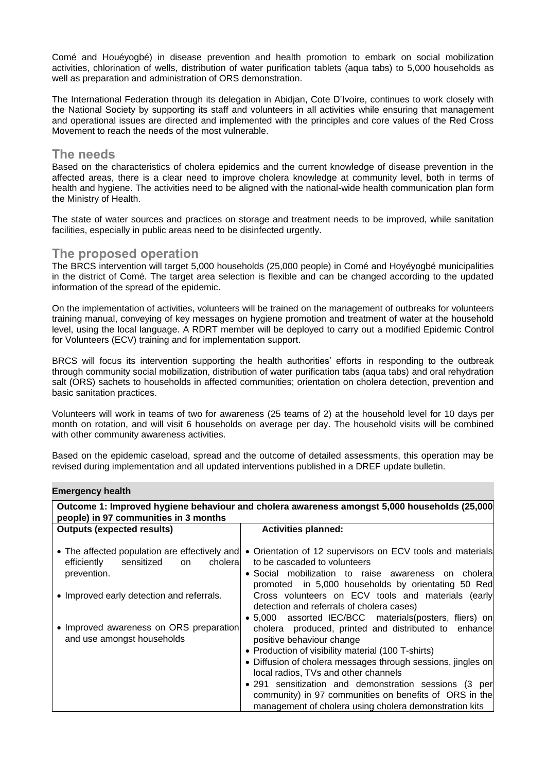Comé and Houéyogbé) in disease prevention and health promotion to embark on social mobilization activities, chlorination of wells, distribution of water purification tablets (aqua tabs) to 5,000 households as well as preparation and administration of ORS demonstration.

The International Federation through its delegation in Abidjan, Cote D'Ivoire, continues to work closely with the National Society by supporting its staff and volunteers in all activities while ensuring that management and operational issues are directed and implemented with the principles and core values of the Red Cross Movement to reach the needs of the most vulnerable.

## **The needs**

Based on the characteristics of cholera epidemics and the current knowledge of disease prevention in the affected areas, there is a clear need to improve cholera knowledge at community level, both in terms of health and hygiene. The activities need to be aligned with the national-wide health communication plan form the Ministry of Health.

The state of water sources and practices on storage and treatment needs to be improved, while sanitation facilities, especially in public areas need to be disinfected urgently.

## **The proposed operation**

The BRCS intervention will target 5,000 households (25,000 people) in Comé and Hoyéyogbé municipalities in the district of Comé. The target area selection is flexible and can be changed according to the updated information of the spread of the epidemic.

On the implementation of activities, volunteers will be trained on the management of outbreaks for volunteers training manual, conveying of key messages on hygiene promotion and treatment of water at the household level, using the local language. A RDRT member will be deployed to carry out a modified Epidemic Control for Volunteers (ECV) training and for implementation support.

BRCS will focus its intervention supporting the health authorities' efforts in responding to the outbreak through community social mobilization, distribution of water purification tabs (aqua tabs) and oral rehydration salt (ORS) sachets to households in affected communities; orientation on cholera detection, prevention and basic sanitation practices.

Volunteers will work in teams of two for awareness (25 teams of 2) at the household level for 10 days per month on rotation, and will visit 6 households on average per day. The household visits will be combined with other community awareness activities.

Based on the epidemic caseload, spread and the outcome of detailed assessments, this operation may be revised during implementation and all updated interventions published in a DREF update bulletin.

#### **Emergency health**

| Outcome 1: Improved hygiene behaviour and cholera awareness amongst 5,000 households (25,000)<br>people) in 97 communities in 3 months |                                                                                                                                                                                                                                                                                                                                                                                                                              |  |
|----------------------------------------------------------------------------------------------------------------------------------------|------------------------------------------------------------------------------------------------------------------------------------------------------------------------------------------------------------------------------------------------------------------------------------------------------------------------------------------------------------------------------------------------------------------------------|--|
| <b>Outputs (expected results)</b>                                                                                                      | <b>Activities planned:</b>                                                                                                                                                                                                                                                                                                                                                                                                   |  |
| choleral<br>efficiently<br>sensitized<br><b>on</b><br>prevention.                                                                      | • The affected population are effectively and • Orientation of 12 supervisors on ECV tools and materials<br>to be cascaded to volunteers<br>· Social mobilization to raise awareness on choleral<br>promoted in 5,000 households by orientating 50 Red                                                                                                                                                                       |  |
| • Improved early detection and referrals.                                                                                              | Cross volunteers on ECV tools and materials (early<br>detection and referrals of cholera cases)<br>• 5,000 assorted IEC/BCC materials (posters, fliers) on                                                                                                                                                                                                                                                                   |  |
| • Improved awareness on ORS preparation<br>and use amongst households                                                                  | cholera produced, printed and distributed to enhance<br>positive behaviour change<br>• Production of visibility material (100 T-shirts)<br>• Diffusion of cholera messages through sessions, jingles on<br>local radios, TVs and other channels<br>• 291 sensitization and demonstration sessions (3 per<br>community) in 97 communities on benefits of ORS in the<br>management of cholera using cholera demonstration kits |  |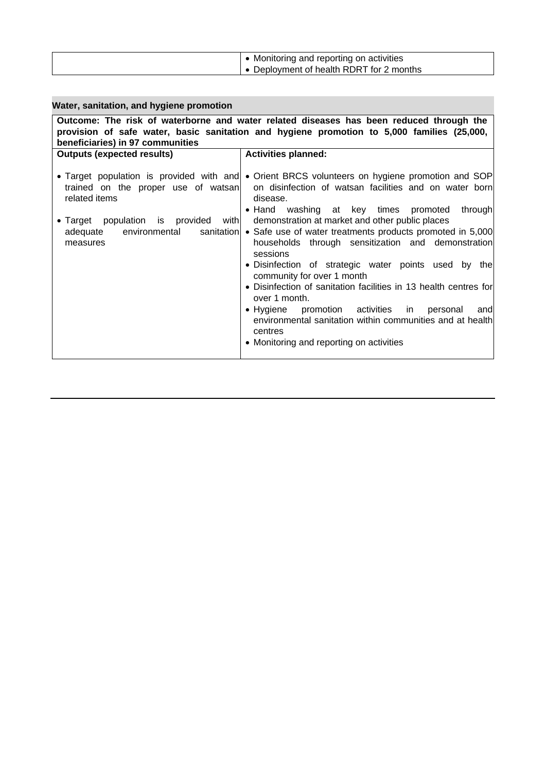| Water, sanitation, and hygiene promotion                                                                                                                                                                                  |                                                                                                                                                                                                                                                                                                                                                                                                                                                                                                                                                                                                                                                                                                                                                                                                                             |  |
|---------------------------------------------------------------------------------------------------------------------------------------------------------------------------------------------------------------------------|-----------------------------------------------------------------------------------------------------------------------------------------------------------------------------------------------------------------------------------------------------------------------------------------------------------------------------------------------------------------------------------------------------------------------------------------------------------------------------------------------------------------------------------------------------------------------------------------------------------------------------------------------------------------------------------------------------------------------------------------------------------------------------------------------------------------------------|--|
| Outcome: The risk of waterborne and water related diseases has been reduced through the<br>provision of safe water, basic sanitation and hygiene promotion to 5,000 families (25,000,<br>beneficiaries) in 97 communities |                                                                                                                                                                                                                                                                                                                                                                                                                                                                                                                                                                                                                                                                                                                                                                                                                             |  |
| <b>Outputs (expected results)</b>                                                                                                                                                                                         | <b>Activities planned:</b>                                                                                                                                                                                                                                                                                                                                                                                                                                                                                                                                                                                                                                                                                                                                                                                                  |  |
| related items<br>population is provided with<br>$\bullet$ Target<br>environmental<br>adequate<br>measures                                                                                                                 | • Target population is provided with and • Orient BRCS volunteers on hygiene promotion and SOP<br>trained on the proper use of watsan on disinfection of watsan facilities and on water born<br>disease.<br>• Hand washing at key times promoted<br>through<br>demonstration at market and other public places<br>sanitation • Safe use of water treatments products promoted in 5,000<br>households through sensitization and demonstration<br>sessions<br>• Disinfection of strategic water points used by the<br>community for over 1 month<br>• Disinfection of sanitation facilities in 13 health centres for<br>over 1 month.<br>$\bullet$ Hygiene<br>promotion activities in<br>personal<br>andl<br>environmental sanitation within communities and at health<br>centres<br>• Monitoring and reporting on activities |  |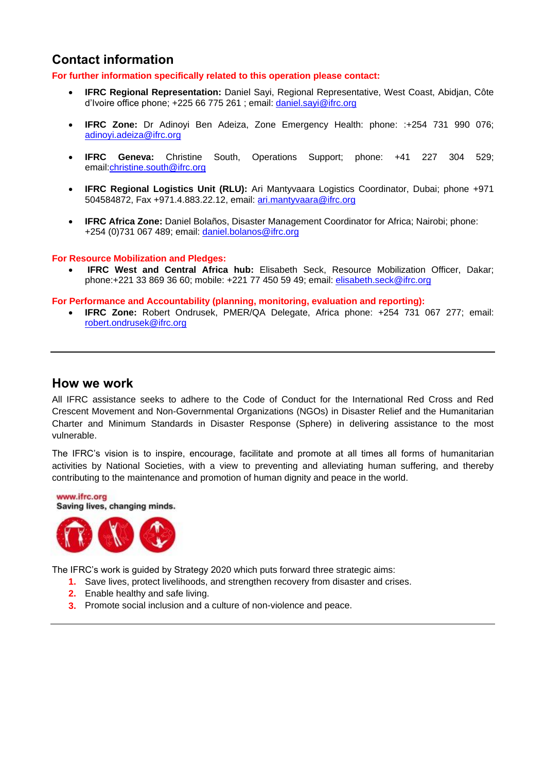## <span id="page-4-0"></span>**Contact information**

**For further information specifically related to this operation please contact:**

- **IFRC Regional Representation:** Daniel Sayi, Regional Representative, West Coast, Abidjan, Côte d'Ivoire office phone; +225 66 775 261 ; email: [daniel.sayi@ifrc.org](mailto:daniel.sayi@ifrc.org)
- **IFRC Zone:** Dr Adinoyi Ben Adeiza, Zone Emergency Health: phone: :+254 731 990 076; [adinoyi.adeiza@ifrc.org](mailto:adinoyi.adeiza@ifrc.org)
- **IFRC Geneva:** Christine South, Operations Support; phone: +41 227 304 529; email[:christine.south@ifrc.org](mailto:christine.south@ifrc.org)
- **IFRC Regional Logistics Unit (RLU):** Ari Mantyvaara Logistics Coordinator, Dubai; phone +971 504584872, Fax +971.4.883.22.12, email: [ari.mantyvaara@ifrc.org](mailto:ari.mantyvaara@ifrc.org)
- **IFRC Africa Zone:** Daniel Bolaños, Disaster Management Coordinator for Africa; Nairobi; phone: +254 (0)731 067 489; email: [daniel.bolanos@ifrc.org](mailto:daniel.bolanos@ifrc.org)

#### **For Resource Mobilization and Pledges:**

 **IFRC West and Central Africa hub:** Elisabeth Seck, Resource Mobilization Officer, Dakar; phone:+221 33 869 36 60; mobile: +221 77 450 59 49; email: [elisabeth.seck@ifrc.org](mailto:elisabeth.seck@ifrc.org)

**For Performance and Accountability (planning, monitoring, evaluation and reporting):**

 **IFRC Zone:** Robert Ondrusek, PMER/QA Delegate, Africa phone: +254 731 067 277; email: [robert.ondrusek@ifrc.org](mailto:robert.ondrusek@ifrc.org)

### **How we work**

All IFRC assistance seeks to adhere to the Code of Conduct for the International Red Cross and Red Crescent Movement and Non-Governmental Organizations (NGOs) in Disaster Relief and the Humanitarian Charter and Minimum Standards in Disaster Response (Sphere) in delivering assistance to the most vulnerable.

The IFRC's vision is to inspire, encourage, facilitate and promote at all times all forms of humanitarian activities by National Societies, with a view to preventing and alleviating human suffering, and thereby contributing to the maintenance and promotion of human dignity and peace in the world.



The IFRC's work is guided by Strategy 2020 which puts forward three strategic aims:

- **1.** Save lives, protect livelihoods, and strengthen recovery from disaster and crises.
- **2.** Enable healthy and safe living.
- **3.** Promote social inclusion and a culture of non-violence and peace.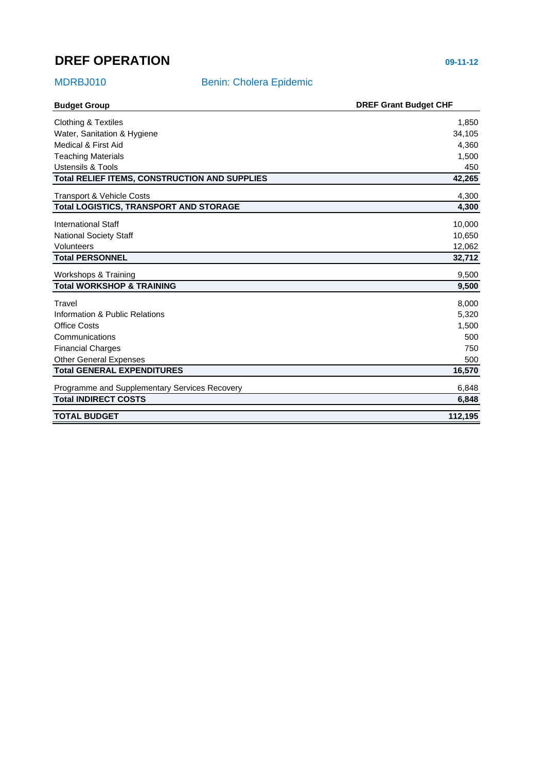## <span id="page-5-0"></span>**DREF OPERATION 09-11-12**

## MDRBJ010 Benin: Cholera Epidemic

| <b>Budget Group</b>                                  | <b>DREF Grant Budget CHF</b> |
|------------------------------------------------------|------------------------------|
| <b>Clothing &amp; Textiles</b>                       | 1,850                        |
| Water, Sanitation & Hygiene                          | 34,105                       |
| Medical & First Aid                                  | 4,360                        |
| <b>Teaching Materials</b>                            | 1,500                        |
| Ustensils & Tools                                    | 450                          |
| <b>Total RELIEF ITEMS, CONSTRUCTION AND SUPPLIES</b> | 42,265                       |
| <b>Transport &amp; Vehicle Costs</b>                 | 4,300                        |
| <b>Total LOGISTICS, TRANSPORT AND STORAGE</b>        | 4,300                        |
| <b>International Staff</b>                           | 10,000                       |
| <b>National Society Staff</b>                        | 10,650                       |
| Volunteers                                           | 12,062                       |
| <b>Total PERSONNEL</b>                               | 32,712                       |
| Workshops & Training                                 | 9,500                        |
| <b>Total WORKSHOP &amp; TRAINING</b>                 | 9,500                        |
| Travel                                               | 8,000                        |
| Information & Public Relations                       | 5,320                        |
| <b>Office Costs</b>                                  | 1,500                        |
| Communications                                       | 500                          |
| <b>Financial Charges</b>                             | 750                          |
| <b>Other General Expenses</b>                        | 500                          |
| <b>Total GENERAL EXPENDITURES</b>                    | 16,570                       |
| Programme and Supplementary Services Recovery        | 6,848                        |
| <b>Total INDIRECT COSTS</b>                          | 6,848                        |
| <b>TOTAL BUDGET</b>                                  | 112,195                      |